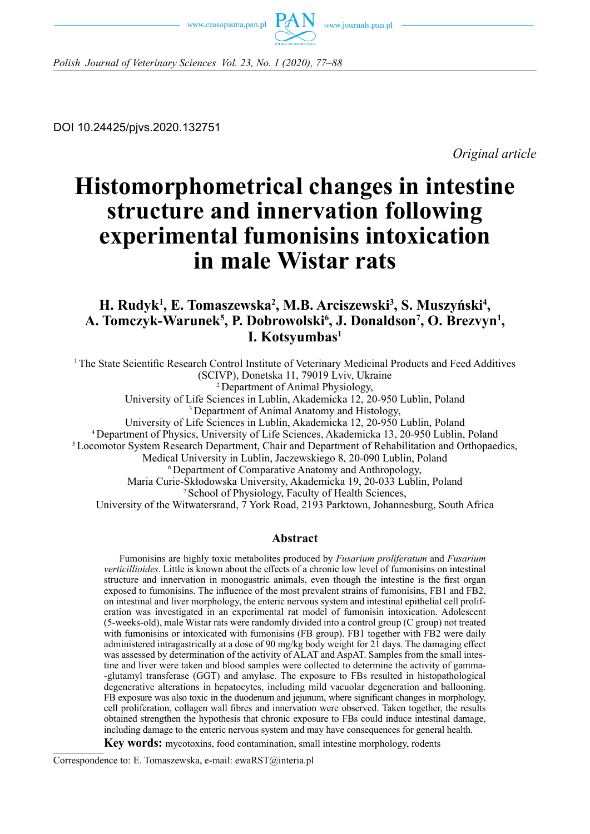



*Polish Journal of Veterinary Sciences Vol. 23, No. 1 (2020), 77–88*

DOI 10.24425/pjvs.2020.132751

*Original article*

# **Histomorphometrical changes in intestine structure and innervation following experimental fumonisins intoxication in male Wistar rats**

## **H. Rudyk1 , E. Tomaszewska2 , M.B. Arciszewski3 , S. Muszyński<sup>4</sup> ,**  A. Tomczyk-Warunek<sup>5</sup>, P. Dobrowolski<sup>6</sup>, J. Donaldson<sup>7</sup>, O. Brezvyn<sup>1</sup>, **I. Kotsyumbas1**

<sup>1</sup>The State Scientific Research Control Institute of Veterinary Medicinal Products and Feed Additives (SCIVP), Donetska 11, 79019 Lviv, Ukraine <sup>2</sup>Department of Animal Physiology, University of Life Sciences in Lublin, Akademicka 12, 20-950 Lublin, Poland <sup>3</sup> Department of Animal Anatomy and Histology, University of Life Sciences in Lublin, Akademicka 12, 20-950 Lublin, Poland <sup>4</sup>Department of Physics, University of Life Sciences, Akademicka 13, 20-950 Lublin, Poland 5 Locomotor System Research Department, Chair and Department of Rehabilitation and Orthopaedics, Medical University in Lublin, Jaczewskiego 8, 20-090 Lublin, Poland <sup>6</sup>Department of Comparative Anatomy and Anthropology, Maria Curie-Skłodowska University, Akademicka 19, 20-033 Lublin, Poland 7 School of Physiology, Faculty of Health Sciences, University of the Witwatersrand, 7 York Road, 2193 Parktown, Johannesburg, South Africa

## **Abstract**

Fumonisins are highly toxic metabolites produced by *Fusarium proliferatum* and *Fusarium verticillioides*. Little is known about the effects of a chronic low level of fumonisins on intestinal structure and innervation in monogastric animals, even though the intestine is the first organ exposed to fumonisins. The influence of the most prevalent strains of fumonisins, FB1 and FB2, on intestinal and liver morphology, the enteric nervous system and intestinal epithelial cell proliferation was investigated in an experimental rat model of fumonisin intoxication. Adolescent (5-weeks-old), male Wistar rats were randomly divided into a control group (C group) not treated with fumonisins or intoxicated with fumonisins (FB group). FB1 together with FB2 were daily administered intragastrically at a dose of 90 mg/kg body weight for 21 days. The damaging effect was assessed by determination of the activity of ALAT and AspAT. Samples from the small intestine and liver were taken and blood samples were collected to determine the activity of gamma- -glutamyl transferase (GGT) and amylase. The exposure to FBs resulted in histopathological degenerative alterations in hepatocytes, including mild vacuolar degeneration and ballooning. FB exposure was also toxic in the duodenum and jejunum, where significant changes in morphology, cell proliferation, collagen wall fibres and innervation were observed. Taken together, the results obtained strengthen the hypothesis that chronic exposure to FBs could induce intestinal damage, including damage to the enteric nervous system and may have consequences for general health.

**Key words:** mycotoxins, food contamination, small intestine morphology, rodents

Correspondence to: E. Tomaszewska, e-mail: ewaRST@interia.pl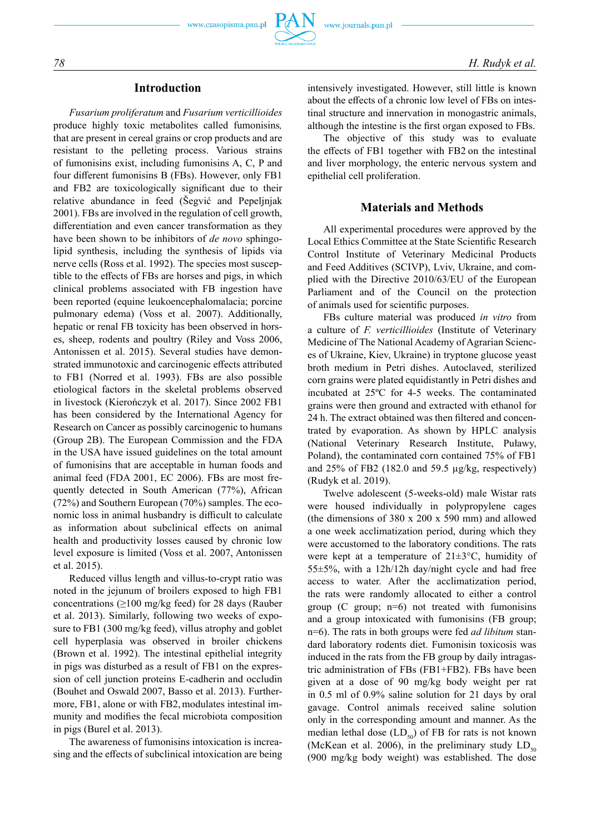## **Introduction**

*Fusarium proliferatum* and *Fusarium verticillioides* produce highly toxic metabolites called fumonisins*,*  that are present in cereal grains or crop products and are resistant to the pelleting process. Various strains of fumonisins exist, including fumonisins A, C, P and four different fumonisins B (FBs). However, only FB1 and FB2 are toxicologically significant due to their relative abundance in feed (Šegvić and Pepeljnjak 2001). FBs are involved in the regulation of cell growth, differentiation and even cancer transformation as they have been shown to be inhibitors of *de novo* sphingolipid synthesis, including the synthesis of lipids via nerve cells (Ross et al. 1992). The species most susceptible to the effects of FBs are horses and pigs, in which clinical problems associated with FB ingestion have been reported (equine leukoencephalomalacia; porcine pulmonary edema) (Voss et al. 2007). Additionally, hepatic or renal FB toxicity has been observed in horses, sheep, rodents and poultry (Riley and Voss 2006, Antonissen et al. 2015). Several studies have demonstrated immunotoxic and carcinogenic effects attributed to FB1 (Norred et al. 1993). FBs are also possible etiological factors in the skeletal problems observed in livestock (Kierończyk et al. 2017). Since 2002 FB1 has been considered by the International Agency for Research on Cancer as possibly carcinogenic to humans (Group 2B). The European Commission and the FDA in the USA have issued guidelines on the total amount of fumonisins that are acceptable in human foods and animal feed (FDA 2001, EC 2006). FBs are most frequently detected in South American (77%), African (72%) and Southern European (70%) samples. The economic loss in animal husbandry is difficult to calculate as information about subclinical effects on animal health and productivity losses caused by chronic low level exposure is limited (Voss et al. 2007, Antonissen et al. 2015).

Reduced villus length and villus-to-crypt ratio was noted in the jejunum of broilers exposed to high FB1 concentrations (≥100 mg/kg feed) for 28 days (Rauber et al. 2013). Similarly, following two weeks of exposure to FB1 (300 mg/kg feed), villus atrophy and goblet cell hyperplasia was observed in broiler chickens (Brown et al. 1992). The intestinal epithelial integrity in pigs was disturbed as a result of FB1 on the expression of cell junction proteins E-cadherin and occludin (Bouhet and Oswald 2007, Basso et al. 2013). Furthermore, FB1, alone or with FB2, modulates intestinal immunity and modifies the fecal microbiota composition in pigs (Burel et al. 2013).

The awareness of fumonisins intoxication is increasing and the effects of subclinical intoxication are being intensively investigated. However, still little is known about the effects of a chronic low level of FBs on intestinal structure and innervation in monogastric animals, although the intestine is the first organ exposed to FBs.

The objective of this study was to evaluate the effects of FB1 together with FB2 on the intestinal and liver morphology, the enteric nervous system and epithelial cell proliferation.

## **Materials and Methods**

All experimental procedures were approved by the Local Ethics Committee at the State Scientific Research Control Institute of Veterinary Medicinal Products and Feed Additives (SCIVP), Lviv, Ukraine, and complied with the Directive 2010/63/EU of the European Parliament and of the Council on the protection of animals used for scientific purposes.

FBs culture material was produced *in vitro* from a culture of *F. verticillioides* (Institute of Veterinary Medicine of The National Academy of Agrarian Sciences of Ukraine, Kiev, Ukraine) in tryptone glucose yeast broth medium in Petri dishes. Autoclaved, sterilized corn grains were plated equidistantly in Petri dishes and incubated at 25ºC for 4-5 weeks. The contaminated grains were then ground and extracted with ethanol for 24 h. The extract obtained was then filtered and concentrated by evaporation. As shown by HPLC analysis (National Veterinary Research Institute, Puławy, Poland), the contaminated corn contained 75% of FB1 and 25% of FB2 (182.0 and 59.5 µg/kg, respectively) (Rudyk et al. 2019).

Twelve adolescent (5-weeks-old) male Wistar rats were housed individually in polypropylene cages (the dimensions of 380 x 200 x 590 mm) and allowed a one week acclimatization period, during which they were accustomed to the laboratory conditions. The rats were kept at a temperature of 21±3°C, humidity of 55±5%, with a 12h/12h day/night cycle and had free access to water. After the acclimatization period, the rats were randomly allocated to either a control group  $(C \text{ group}; \text{n=6})$  not treated with fumonisins and a group intoxicated with fumonisins (FB group; n=6). The rats in both groups were fed *ad libitum* standard laboratory rodents diet. Fumonisin toxicosis was induced in the rats from the FB group by daily intragastric administration of FBs (FB1+FB2). FBs have been given at a dose of 90 mg/kg body weight per rat in 0.5 ml of 0.9% saline solution for 21 days by oral gavage. Control animals received saline solution only in the corresponding amount and manner. As the median lethal dose  $(LD_{50})$  of FB for rats is not known (McKean et al. 2006), in the preliminary study  $LD_{50}$ (900 mg/kg body weight) was established. The dose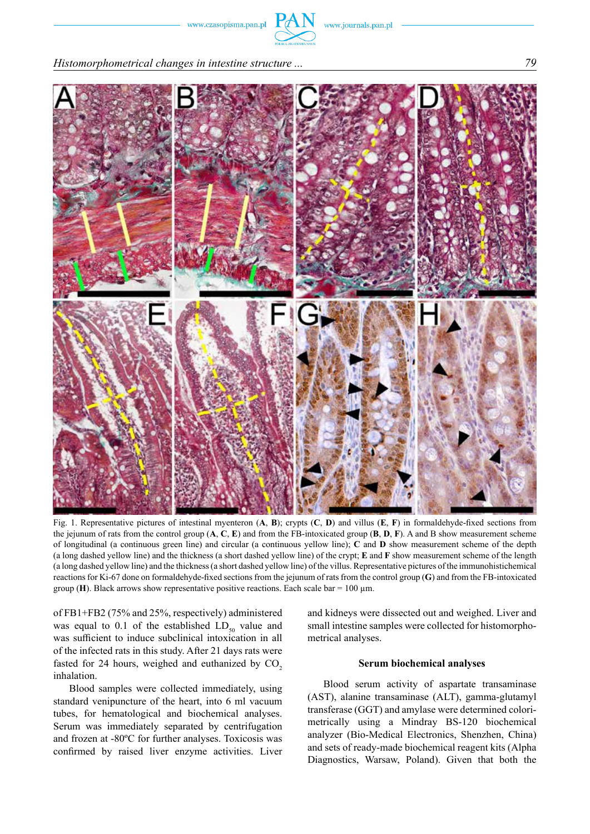

*Histomorphometrical changes in intestine structure ... 79*



Fig. 1. Representative pictures of intestinal myenteron (**A**, **B**); crypts (**C**, **D**) and villus (**E**, **F**) in formaldehyde-fixed sections from the jejunum of rats from the control group (**A**, **C**, **E**) and from the FB-intoxicated group (**B**, **D**, **F**). A and B show measurement scheme of longitudinal (a continuous green line) and circular (a continuous yellow line); **C** and **D** show measurement scheme of the depth (a long dashed yellow line) and the thickness (a short dashed yellow line) of the crypt; **E** and **F** show measurement scheme of the length (a long dashed yellow line) and the thickness (a short dashed yellow line) of the villus. Representative pictures of the immunohistichemical reactions for Ki-67 done on formaldehyde-fixed sections from the jejunum of rats from the control group (**G**) and from the FB-intoxicated group (**H**). Black arrows show representative positive reactions. Each scale bar =  $100 \mu$ m.

of FB1+FB2 (75% and 25%, respectively) administered was equal to 0.1 of the established  $LD_{50}$  value and was sufficient to induce subclinical intoxication in all of the infected rats in this study. After 21 days rats were fasted for 24 hours, weighed and euthanized by  $CO<sub>2</sub>$ inhalation.

Blood samples were collected immediately, using standard venipuncture of the heart, into 6 ml vacuum tubes, for hematological and biochemical analyses. Serum was immediately separated by centrifugation and frozen at -80ºC for further analyses. Toxicosis was confirmed by raised liver enzyme activities. Liver and kidneys were dissected out and weighed. Liver and small intestine samples were collected for histomorphometrical analyses.

#### **Serum biochemical analyses**

Blood serum activity of aspartate transaminase (AST), alanine transaminase (ALT), gamma-glutamyl transferase (GGT) and amylase were determined colorimetrically using a Mindray BS-120 biochemical analyzer (Bio-Medical Electronics, Shenzhen, China) and sets of ready-made biochemical reagent kits (Alpha Diagnostics, Warsaw, Poland). Given that both the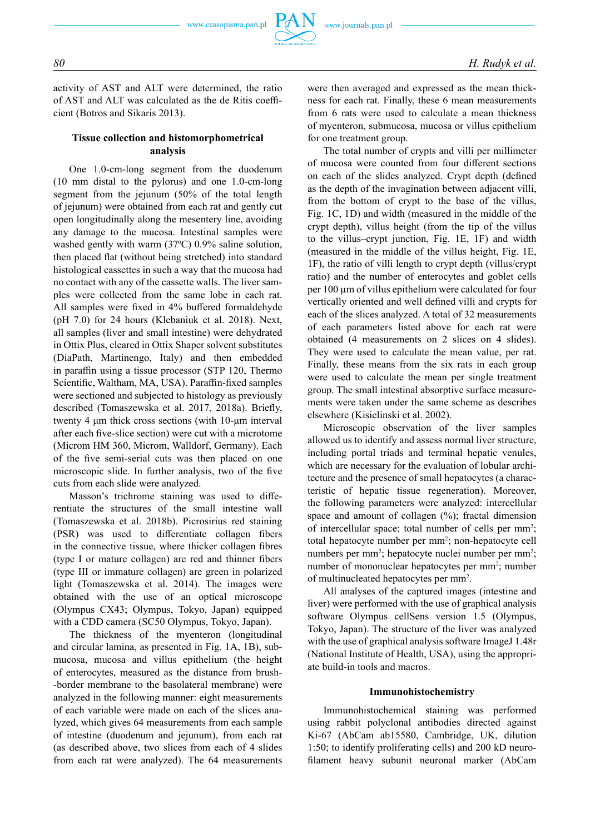activity of AST and ALT were determined, the ratio of AST and ALT was calculated as the de Ritis coefficient (Botros and Sikaris 2013).

## **Tissue collection and histomorphometrical analysis**

One 1.0-cm-long segment from the duodenum (10 mm distal to the pylorus) and one 1.0-cm-long segment from the jejunum (50% of the total length of jejunum) were obtained from each rat and gently cut open longitudinally along the mesentery line, avoiding any damage to the mucosa. Intestinal samples were washed gently with warm (37ºC) 0.9% saline solution, then placed flat (without being stretched) into standard histological cassettes in such a way that the mucosa had no contact with any of the cassette walls. The liver samples were collected from the same lobe in each rat. All samples were fixed in 4% buffered formaldehyde (pH 7.0) for 24 hours (Klebaniuk et al. 2018). Next, all samples (liver and small intestine) were dehydrated in Ottix Plus, cleared in Ottix Shaper solvent substitutes (DiaPath, Martinengo, Italy) and then embedded in paraffin using a tissue processor (STP 120, Thermo Scientific, Waltham, MA, USA). Paraffin-fixed samples were sectioned and subjected to histology as previously described (Tomaszewska et al. 2017, 2018a). Briefly, twenty 4 μm thick cross sections (with 10-μm interval after each five-slice section) were cut with a microtome (Microm HM 360, Microm, Walldorf, Germany). Each of the five semi-serial cuts was then placed on one microscopic slide. In further analysis, two of the five cuts from each slide were analyzed.

Masson's trichrome staining was used to differentiate the structures of the small intestine wall (Tomaszewska et al. 2018b). Picrosirius red staining (PSR) was used to differentiate collagen fibers in the connective tissue, where thicker collagen fibres (type I or mature collagen) are red and thinner fibers (type III or immature collagen) are green in polarized light (Tomaszewska et al. 2014). The images were obtained with the use of an optical microscope (Olympus CX43; Olympus, Tokyo, Japan) equipped with a CDD camera (SC50 Olympus, Tokyo, Japan).

The thickness of the myenteron (longitudinal and circular lamina, as presented in Fig. 1A, 1B), submucosa, mucosa and villus epithelium (the height of enterocytes, measured as the distance from brush- -border membrane to the basolateral membrane) were analyzed in the following manner: eight measurements of each variable were made on each of the slices analyzed, which gives 64 measurements from each sample of intestine (duodenum and jejunum), from each rat (as described above, two slices from each of 4 slides from each rat were analyzed). The 64 measurements were then averaged and expressed as the mean thickness for each rat. Finally, these 6 mean measurements from 6 rats were used to calculate a mean thickness of myenteron, submucosa, mucosa or villus epithelium for one treatment group.

The total number of crypts and villi per millimeter of mucosa were counted from four different sections on each of the slides analyzed. Crypt depth (defined as the depth of the invagination between adjacent villi, from the bottom of crypt to the base of the villus, Fig. 1C, 1D) and width (measured in the middle of the crypt depth), villus height (from the tip of the villus to the villus–crypt junction, Fig. 1E, 1F) and width (measured in the middle of the villus height, Fig. 1E, 1F), the ratio of villi length to crypt depth (villus/crypt ratio) and the number of enterocytes and goblet cells per 100 µm of villus epithelium were calculated for four vertically oriented and well defined villi and crypts for each of the slices analyzed. A total of 32 measurements of each parameters listed above for each rat were obtained (4 measurements on 2 slices on 4 slides). They were used to calculate the mean value, per rat. Finally, these means from the six rats in each group were used to calculate the mean per single treatment group. The small intestinal absorptive surface measurements were taken under the same scheme as describes elsewhere (Kisielinski et al. 2002).

Microscopic observation of the liver samples allowed us to identify and assess normal liver structure, including portal triads and terminal hepatic venules, which are necessary for the evaluation of lobular architecture and the presence of small hepatocytes (a characteristic of hepatic tissue regeneration). Moreover, the following parameters were analyzed: intercellular space and amount of collagen (%); fractal dimension of intercellular space; total number of cells per mm<sup>2</sup>; total hepatocyte number per mm<sup>2</sup>; non-hepatocyte cell numbers per mm<sup>2</sup>; hepatocyte nuclei number per mm<sup>2</sup>; number of mononuclear hepatocytes per mm<sup>2</sup>; number of multinucleated hepatocytes per mm<sup>2</sup>.

All analyses of the captured images (intestine and liver) were performed with the use of graphical analysis software Olympus cellSens version 1.5 (Olympus, Tokyo, Japan). The structure of the liver was analyzed with the use of graphical analysis software ImageJ 1.48r (National Institute of Health, USA), using the appropriate build-in tools and macros.

#### **Immunohistochemistry**

Immunohistochemical staining was performed using rabbit polyclonal antibodies directed against Ki-67 (AbCam ab15580, Cambridge, UK, dilution 1:50; to identify proliferating cells) and 200 kD neurofilament heavy subunit neuronal marker (AbCam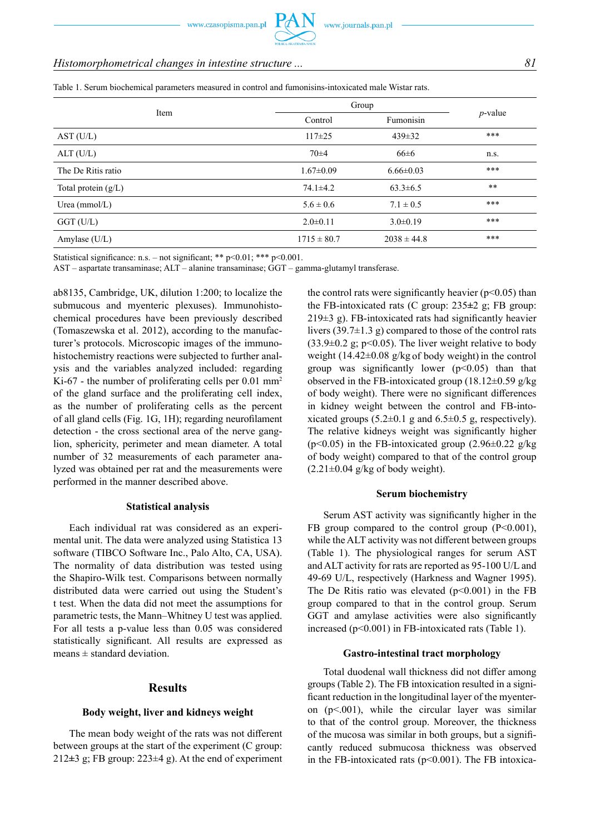## *Histomorphometrical changes in intestine structure ... 81*

Table 1. Serum biochemical parameters measured in control and fumonisins-intoxicated male Wistar rats.

| Item                  | Group           |                 |            |
|-----------------------|-----------------|-----------------|------------|
|                       | Control         | Fumonisin       | $p$ -value |
| AST(U/L)              | $117 + 25$      | $439 \pm 32$    | ***        |
| ALT (U/L)             | $70 + 4$        | $66 \pm 6$      | n.s.       |
| The De Ritis ratio    | $1.67 \pm 0.09$ | $6.66 \pm 0.03$ | ***        |
| Total protein $(g/L)$ | $74.1 \pm 4.2$  | $63.3 \pm 6.5$  | $***$      |
| Urea $(mmol/L)$       | $5.6 \pm 0.6$   | $7.1 \pm 0.5$   | ***        |
| $GGT$ (U/L)           | $2.0 \pm 0.11$  | $3.0 \pm 0.19$  | ***        |
| Amylase (U/L)         | $1715 \pm 80.7$ | $2038 \pm 44.8$ | ***        |

Statistical significance: n.s. – not significant; \*\*  $p<0.01$ ; \*\*\*  $p<0.001$ .

AST – aspartate transaminase; ALT – alanine transaminase; GGT – gamma-glutamyl transferase.

ab8135, Cambridge, UK, dilution 1:200; to localize the submucous and myenteric plexuses). Immunohistochemical procedures have been previously described (Tomaszewska et al. 2012), according to the manufacturer's protocols. Microscopic images of the immunohistochemistry reactions were subjected to further analysis and the variables analyzed included: regarding Ki-67 - the number of proliferating cells per  $0.01 \text{ mm}^2$ of the gland surface and the proliferating cell index, as the number of proliferating cells as the percent of all gland cells (Fig. 1G, 1H); regarding neurofilament detection - the cross sectional area of the nerve ganglion, sphericity, perimeter and mean diameter. A total number of 32 measurements of each parameter analyzed was obtained per rat and the measurements were performed in the manner described above.

#### **Statistical analysis**

Each individual rat was considered as an experimental unit. The data were analyzed using Statistica 13 software (TIBCO Software Inc., Palo Alto, CA, USA). The normality of data distribution was tested using the Shapiro-Wilk test. Comparisons between normally distributed data were carried out using the Student's t test. When the data did not meet the assumptions for parametric tests, the Mann–Whitney U test was applied. For all tests a p-value less than 0.05 was considered statistically significant. All results are expressed as means  $\pm$  standard deviation.

## **Results**

#### **Body weight, liver and kidneys weight**

The mean body weight of the rats was not different between groups at the start of the experiment (C group: 212*±*3 g; FB group: 223±4 g). At the end of experiment the control rats were significantly heavier ( $p<0.05$ ) than the FB-intoxicated rats (C group: 235*±*2 g; FB group:  $219±3$  g). FB-intoxicated rats had significantly heavier livers  $(39.7\pm1.3 \text{ g})$  compared to those of the control rats  $(33.9\pm0.2 \text{ g}; \text{p} < 0.05)$ . The liver weight relative to body weight (14.42 $\pm$ 0.08 g/kg of body weight) in the control group was significantly lower  $(p<0.05)$  than that observed in the FB-intoxicated group  $(18.12\pm0.59 \text{ g/kg})$ of body weight). There were no significant differences in kidney weight between the control and FB-intoxicated groups  $(5.2\pm0.1 \text{ g and } 6.5\pm0.5 \text{ g, respectively}).$ The relative kidneys weight was significantly higher ( $p$ <0.05) in the FB-intoxicated group (2.96 $\pm$ 0.22 g/kg of body weight) compared to that of the control group  $(2.21\pm0.04 \text{ g/kg of body weight}).$ 

#### **Serum biochemistry**

Serum AST activity was significantly higher in the FB group compared to the control group  $(P<0.001)$ , while the ALT activity was not different between groups (Table 1). The physiological ranges for serum AST and ALT activity for rats are reported as 95-100 U/L and 49-69 U/L, respectively (Harkness and Wagner 1995). The De Ritis ratio was elevated  $(p<0.001)$  in the FB group compared to that in the control group. Serum GGT and amylase activities were also significantly increased  $(p<0.001)$  in FB-intoxicated rats (Table 1).

#### **Gastro-intestinal tract morphology**

Total duodenal wall thickness did not differ among groups (Table 2). The FB intoxication resulted in a significant reduction in the longitudinal layer of the myenteron  $(p<.001)$ , while the circular layer was similar to that of the control group. Moreover, the thickness of the mucosa was similar in both groups, but a significantly reduced submucosa thickness was observed in the FB-intoxicated rats  $(p<0.001)$ . The FB intoxica-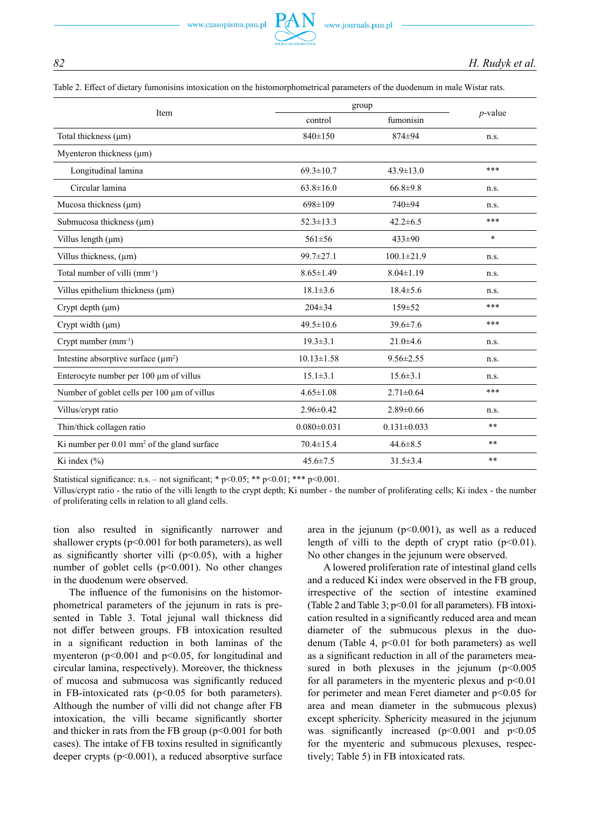|  | Table 2. Effect of dietary fumonisins intoxication on the histomorphometrical parameters of the duodenum in male Wistar rats |  |  |  |  |  |  |  |  |  |  |
|--|------------------------------------------------------------------------------------------------------------------------------|--|--|--|--|--|--|--|--|--|--|
|--|------------------------------------------------------------------------------------------------------------------------------|--|--|--|--|--|--|--|--|--|--|

| Item                                                   | group             | $p$ -value        |         |
|--------------------------------------------------------|-------------------|-------------------|---------|
|                                                        | control           | fumonisin         |         |
| Total thickness (µm)                                   | 840±150           | 874±94            | n.s.    |
| Myenteron thickness $(\mu m)$                          |                   |                   |         |
| Longitudinal lamina                                    | $69.3 \pm 10.7$   | $43.9 \pm 13.0$   | ***     |
| Circular lamina                                        | $63.8 \pm 16.0$   | $66.8{\pm}9.8$    | n.s.    |
| Mucosa thickness (μm)                                  | $698 \pm 109$     | 740±94            | n.s.    |
| Submucosa thickness $(\mu m)$                          | $52.3 \pm 13.3$   | $42.2 \pm 6.5$    | ***     |
| Villus length $(\mu m)$                                | $561\pm56$        | $433 \pm 90$      | $\star$ |
| Villus thickness, $(\mu m)$                            | 99.7±27.1         | $100.1 \pm 21.9$  | n.s.    |
| Total number of villi (mm <sup>-1</sup> )              | $8.65 \pm 1.49$   | $8.04 \pm 1.19$   | n.s.    |
| Villus epithelium thickness (µm)                       | $18.1 \pm 3.6$    | $18.4 \pm 5.6$    | n.s.    |
| Crypt depth (µm)                                       | $204 \pm 34$      | $159 \pm 52$      | ***     |
| Crypt width (µm)                                       | $49.5 \pm 10.6$   | $39.6 \pm 7.6$    | ***     |
| Crypt number $(mm-1)$                                  | $19.3 \pm 3.1$    | $21.0 \pm 4.6$    | n.s.    |
| Intestine absorptive surface $(\mu m^2)$               | $10.13 \pm 1.58$  | $9.56 \pm 2.55$   | n.s.    |
| Enterocyte number per 100 µm of villus                 | $15.1 \pm 3.1$    | $15.6 \pm 3.1$    | n.s.    |
| Number of goblet cells per 100 µm of villus            | $4.65 \pm 1.08$   | $2.71 \pm 0.64$   | ***     |
| Villus/crypt ratio                                     | $2.96 \pm 0.42$   | $2.89 \pm 0.66$   | n.s.    |
| Thin/thick collagen ratio                              | $0.080 \pm 0.031$ | $0.131 \pm 0.033$ | $* *$   |
| Ki number per $0.01 \text{ mm}^2$ of the gland surface | $70.4 \pm 15.4$   | $44.6 \pm 8.5$    | $* *$   |
| Ki index (%)                                           | $45.6 \pm 7.5$    | $31.5 \pm 3.4$    | $* *$   |

Statistical significance: n.s. – not significant; \* p<0.05; \*\* p<0.01; \*\*\* p<0.001.

Villus/crypt ratio - the ratio of the villi length to the crypt depth; Ki number - the number of proliferating cells; Ki index - the number of proliferating cells in relation to all gland cells.

tion also resulted in significantly narrower and shallower crypts ( $p<0.001$  for both parameters), as well as significantly shorter villi  $(p<0.05)$ , with a higher number of goblet cells  $(p<0.001)$ . No other changes in the duodenum were observed.

The influence of the fumonisins on the histomorphometrical parameters of the jejunum in rats is presented in Table 3. Total jejunal wall thickness did not differ between groups. FB intoxication resulted in a significant reduction in both laminas of the myenteron ( $p<0.001$  and  $p<0.05$ , for longitudinal and circular lamina, respectively). Moreover, the thickness of mucosa and submucosa was significantly reduced in FB-intoxicated rats  $(p<0.05$  for both parameters). Although the number of villi did not change after FB intoxication, the villi became significantly shorter and thicker in rats from the FB group  $(p<0.001$  for both cases). The intake of FB toxins resulted in significantly deeper crypts  $(p<0.001)$ , a reduced absorptive surface area in the jejunum ( $p<0.001$ ), as well as a reduced length of villi to the depth of crypt ratio  $(p<0.01)$ . No other changes in the jejunum were observed.

A lowered proliferation rate of intestinal gland cells and a reduced Ki index were observed in the FB group, irrespective of the section of intestine examined (Table 2 and Table 3;  $p<0.01$  for all parameters). FB intoxication resulted in a significantly reduced area and mean diameter of the submucous plexus in the duodenum (Table 4,  $p<0.01$  for both parameters) as well as a significant reduction in all of the parameters measured in both plexuses in the jejunum  $(p<0.005$ for all parameters in the myenteric plexus and  $p<0.01$ for perimeter and mean Feret diameter and  $p<0.05$  for area and mean diameter in the submucous plexus) except sphericity. Sphericity measured in the jejunum was significantly increased  $(p<0.001$  and  $p<0.05$ for the myenteric and submucous plexuses, respectively; Table 5) in FB intoxicated rats.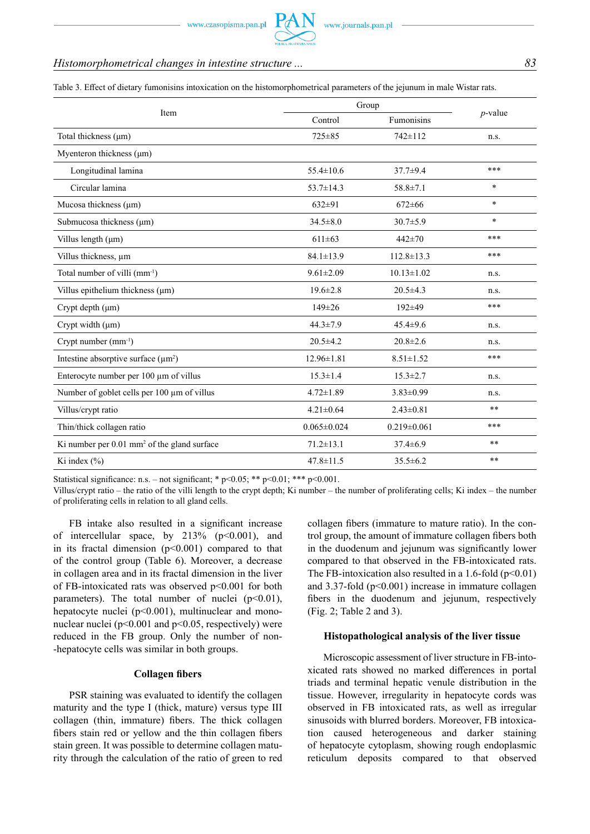Table 3. Effect of dietary fumonisins intoxication on the histomorphometrical parameters of the jejunum in male Wistar rats.

| Item                                                    | Group             | $p$ -value        |        |
|---------------------------------------------------------|-------------------|-------------------|--------|
|                                                         | Control           | Fumonisins        |        |
| Total thickness (µm)                                    | $725 \pm 85$      | $742 \pm 112$     | n.s.   |
| Myenteron thickness (µm)                                |                   |                   |        |
| Longitudinal lamina                                     | $55.4 \pm 10.6$   | $37.7 \pm 9.4$    | ***    |
| Circular lamina                                         | $53.7 \pm 14.3$   | $58.8 \pm 7.1$    | $\ast$ |
| Mucosa thickness (µm)                                   | $632\pm91$        | $672\pm 66$       | $\ast$ |
| Submucosa thickness (μm)                                | $34.5 \pm 8.0$    | $30.7 \pm 5.9$    | $\ast$ |
| Villus length $(\mu m)$                                 | $611\pm63$        | $442 \pm 70$      | ***    |
| Villus thickness, um                                    | $84.1 \pm 13.9$   | $112.8 \pm 13.3$  | ***    |
| Total number of villi (mm <sup>-1</sup> )               | $9.61 \pm 2.09$   | $10.13 \pm 1.02$  | n.s.   |
| Villus epithelium thickness (µm)                        | $19.6 \pm 2.8$    | $20.5 \pm 4.3$    | n.s.   |
| Crypt depth (µm)                                        | $149 \pm 26$      | $192\pm 49$       | ***    |
| Crypt width (µm)                                        | $44.3 \pm 7.9$    | $45.4 \pm 9.6$    | n.s.   |
| Crypt number $(mm-1)$                                   | $20.5 \pm 4.2$    | $20.8 \pm 2.6$    | n.s.   |
| Intestine absorptive surface $(\mu m^2)$                | $12.96 \pm 1.81$  | $8.51 \pm 1.52$   | ***    |
| Enterocyte number per 100 µm of villus                  | $15.3 \pm 1.4$    | $15.3 \pm 2.7$    | n.s.   |
| Number of goblet cells per 100 µm of villus             | $4.72 \pm 1.89$   | $3.83 \pm 0.99$   | n.s.   |
| Villus/crypt ratio                                      | $4.21 \pm 0.64$   | $2.43 \pm 0.81$   | **     |
| Thin/thick collagen ratio                               | $0.065 \pm 0.024$ | $0.219 \pm 0.061$ | ***    |
| Ki number per 0.01 mm <sup>2</sup> of the gland surface | $71.2 \pm 13.1$   | $37.4\pm 6.9$     | **     |
| Ki index $(\% )$                                        | $47.8 \pm 11.5$   | $35.5 \pm 6.2$    | **     |

Statistical significance: n.s. – not significant; \*  $p<0.05$ ; \*\*  $p<0.01$ ; \*\*\*  $p<0.001$ .

Villus/crypt ratio – the ratio of the villi length to the crypt depth; Ki number – the number of proliferating cells; Ki index – the number of proliferating cells in relation to all gland cells.

FB intake also resulted in a significant increase of intercellular space, by  $213\%$  ( $p<0.001$ ), and in its fractal dimension  $(p<0.001)$  compared to that of the control group (Table 6). Moreover, a decrease in collagen area and in its fractal dimension in the liver of FB-intoxicated rats was observed p<0.001 for both parameters). The total number of nuclei  $(p<0.01)$ , hepatocyte nuclei (p<0.001), multinuclear and mononuclear nuclei ( $p<0.001$  and  $p<0.05$ , respectively) were reduced in the FB group. Only the number of non- -hepatocyte cells was similar in both groups.

#### **Collagen fibers**

PSR staining was evaluated to identify the collagen maturity and the type I (thick, mature) versus type III collagen (thin, immature) fibers. The thick collagen fibers stain red or yellow and the thin collagen fibers stain green. It was possible to determine collagen maturity through the calculation of the ratio of green to red collagen fibers (immature to mature ratio). In the control group, the amount of immature collagen fibers both in the duodenum and jejunum was significantly lower compared to that observed in the FB-intoxicated rats. The FB-intoxication also resulted in a 1.6-fold  $(p<0.01)$ and 3.37-fold  $(p<0.001)$  increase in immature collagen fibers in the duodenum and jejunum, respectively (Fig. 2; Table 2 and 3).

#### **Histopathological analysis of the liver tissue**

Microscopic assessment of liver structure in FB-intoxicated rats showed no marked differences in portal triads and terminal hepatic venule distribution in the tissue. However, irregularity in hepatocyte cords was observed in FB intoxicated rats, as well as irregular sinusoids with blurred borders. Moreover, FB intoxication caused heterogeneous and darker staining of hepatocyte cytoplasm, showing rough endoplasmic reticulum deposits compared to that observed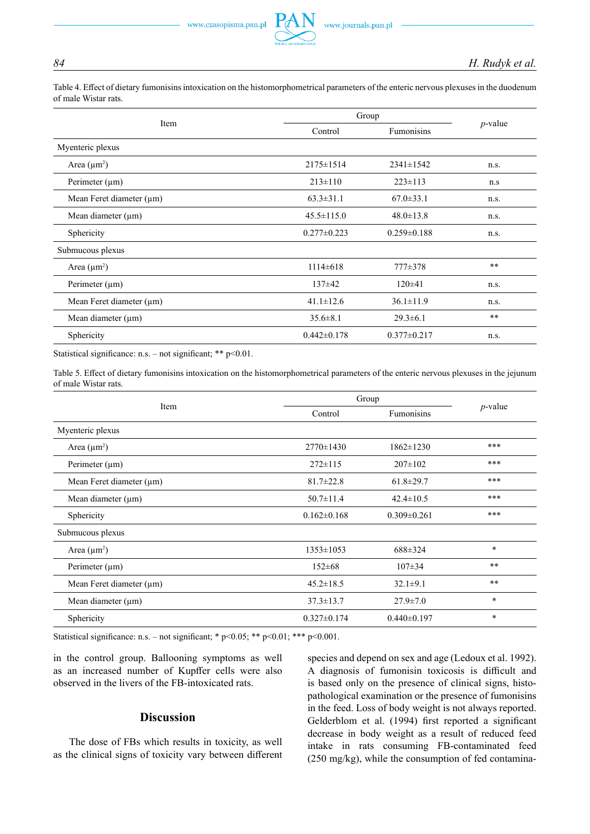Table 4. Effect of dietary fumonisins intoxication on the histomorphometrical parameters of the enteric nervous plexuses in the duodenum of male Wistar rats.

|                   | Group             |            |  |
|-------------------|-------------------|------------|--|
| Control           | <b>Fumonisins</b> | $p$ -value |  |
|                   |                   |            |  |
| $2175 \pm 1514$   | $2341 \pm 1542$   | n.s.       |  |
| $213 \pm 110$     | $223 \pm 113$     | n.s        |  |
| $63.3 \pm 31.1$   | $67.0 \pm 33.1$   | n.s.       |  |
| $45.5 \pm 115.0$  | $48.0 \pm 13.8$   | n.s.       |  |
| $0.277 \pm 0.223$ | $0.259 \pm 0.188$ | n.s.       |  |
|                   |                   |            |  |
| $1114\pm 618$     | $777\pm378$       | **         |  |
| $137\pm42$        | $120\pm 41$       | n.s.       |  |
| $41.1 \pm 12.6$   | $36.1 \pm 11.9$   | n.s.       |  |
| $35.6 \pm 8.1$    | $29.3 \pm 6.1$    | $\ast\ast$ |  |
| $0.442 \pm 0.178$ | $0.377 \pm 0.217$ | n.s.       |  |
|                   |                   |            |  |

Statistical significance: n.s. – not significant; \*\*  $p$  < 0.01.

Table 5. Effect of dietary fumonisins intoxication on the histomorphometrical parameters of the enteric nervous plexuses in the jejunum of male Wistar rats.

|                               |                   | Group             |            |
|-------------------------------|-------------------|-------------------|------------|
| Item                          | Control           | Fumonisins        | $p$ -value |
| Myenteric plexus              |                   |                   |            |
| Area $(\mu m^2)$              | $2770 \pm 1430$   | $1862 \pm 1230$   | ***        |
| Perimeter $(\mu m)$           | $272 \pm 115$     | $207 \pm 102$     | ***        |
| Mean Feret diameter $(\mu m)$ | $81.7 \pm 22.8$   | $61.8 \pm 29.7$   | ***        |
| Mean diameter (µm)            | $50.7 \pm 11.4$   | $42.4 \pm 10.5$   | ***        |
| Sphericity                    | $0.162 \pm 0.168$ | $0.309 \pm 0.261$ | ***        |
| Submucous plexus              |                   |                   |            |
| Area $(\mu m^2)$              | $1353 \pm 1053$   | $688 \pm 324$     | $\ast$     |
| Perimeter $(\mu m)$           | $152 \pm 68$      | $107 \pm 34$      | **         |
| Mean Feret diameter $(\mu m)$ | $45.2 \pm 18.5$   | $32.1 \pm 9.1$    | **         |
| Mean diameter $(\mu m)$       | $37.3 \pm 13.7$   | $27.9 \pm 7.0$    | $\ast$     |
| Sphericity                    | $0.327 \pm 0.174$ | $0.440 \pm 0.197$ | $\ast$     |

Statistical significance: n.s. – not significant; \*  $p<0.05$ ; \*\*  $p<0.01$ ; \*\*\*  $p<0.001$ .

in the control group. Ballooning symptoms as well as an increased number of Kupffer cells were also observed in the livers of the FB-intoxicated rats.

## **Discussion**

The dose of FBs which results in toxicity, as well as the clinical signs of toxicity vary between different species and depend on sex and age (Ledoux et al. 1992). A diagnosis of fumonisin toxicosis is difficult and is based only on the presence of clinical signs, histopathological examination or the presence of fumonisins in the feed. Loss of body weight is not always reported. Gelderblom et al. (1994) first reported a significant decrease in body weight as a result of reduced feed intake in rats consuming FB-contaminated feed (250 mg/kg), while the consumption of fed contamina-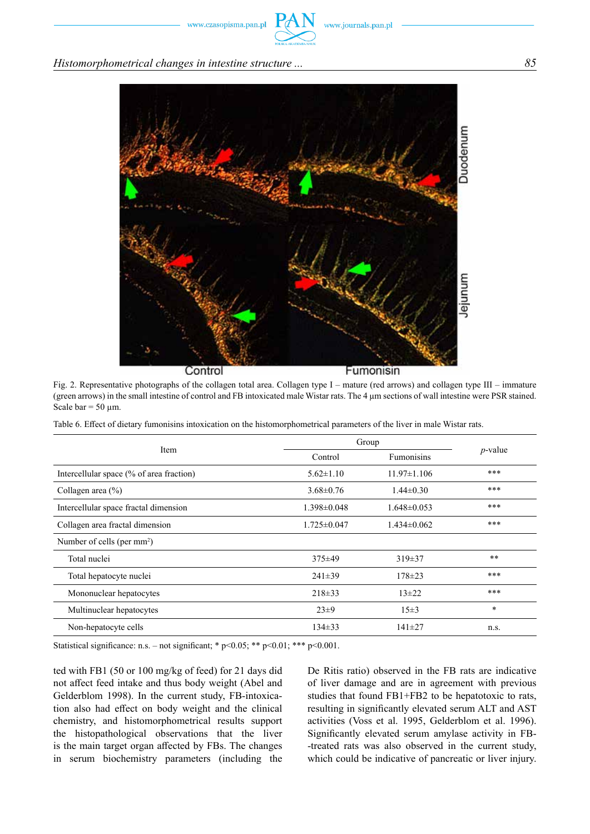## *Histomorphometrical changes in intestine structure ... 85*



Fig. 2. Representative photographs of the collagen total area. Collagen type I – mature (red arrows) and collagen type III – immature (green arrows) in the small intestine of control and FB intoxicated male Wistar rats. The 4 µm sections of wall intestine were PSR stained. Scale bar =  $50 \mu m$ .

Table 6. Effect of dietary fumonisins intoxication on the histomorphometrical parameters of the liver in male Wistar rats.

| Item                                     | Group             |                   |            |
|------------------------------------------|-------------------|-------------------|------------|
|                                          | Control           | Fumonisins        | $p$ -value |
| Intercellular space (% of area fraction) | $5.62 \pm 1.10$   | $11.97 \pm 1.106$ | ***        |
| Collagen area $(\% )$                    | $3.68 \pm 0.76$   | $1.44\pm0.30$     | ***        |
| Intercellular space fractal dimension    | $1.398 \pm 0.048$ | $1.648 \pm 0.053$ | ***        |
| Collagen area fractal dimension          | $1.725 \pm 0.047$ | $1.434\pm0.062$   | ***        |
| Number of cells (per $mm2$ )             |                   |                   |            |
| Total nuclei                             | $375 \pm 49$      | $319\pm37$        | **         |
| Total hepatocyte nuclei                  | $241\pm39$        | $178 \pm 23$      | ***        |
| Mononuclear hepatocytes                  | $218 \pm 33$      | $13 + 22$         | ***        |
| Multinuclear hepatocytes                 | $23\pm9$          | $15 \pm 3$        | $\ast$     |
| Non-hepatocyte cells                     | $134 \pm 33$      | $141\pm27$        | n.s.       |

Statistical significance: n.s. – not significant; \*  $p<0.05$ ; \*\*  $p<0.01$ ; \*\*\*  $p<0.001$ .

ted with FB1 (50 or 100 mg/kg of feed) for 21 days did not affect feed intake and thus body weight (Abel and Gelderblom 1998). In the current study, FB-intoxication also had effect on body weight and the clinical chemistry, and histomorphometrical results support the histopathological observations that the liver is the main target organ affected by FBs. The changes in serum biochemistry parameters (including the De Ritis ratio) observed in the FB rats are indicative of liver damage and are in agreement with previous studies that found FB1+FB2 to be hepatotoxic to rats, resulting in significantly elevated serum ALT and AST activities (Voss et al. 1995, Gelderblom et al. 1996). Significantly elevated serum amylase activity in FB- -treated rats was also observed in the current study, which could be indicative of pancreatic or liver injury.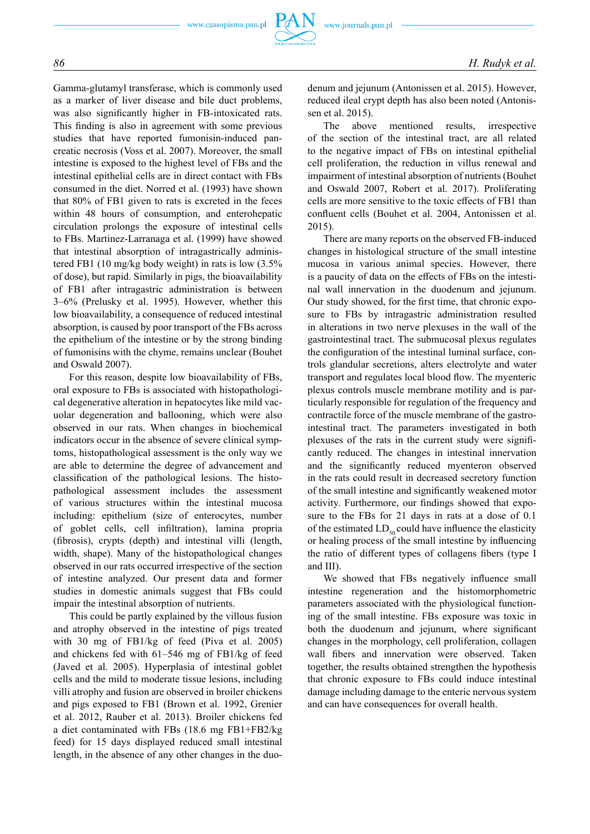Gamma-glutamyl transferase, which is commonly used as a marker of liver disease and bile duct problems, was also significantly higher in FB-intoxicated rats. This finding is also in agreement with some previous studies that have reported fumonisin-induced pancreatic necrosis (Voss et al. 2007). Moreover, the small intestine is exposed to the highest level of FBs and the intestinal epithelial cells are in direct contact with FBs consumed in the diet. Norred et al. (1993) have shown that 80% of FB1 given to rats is excreted in the feces within 48 hours of consumption, and enterohepatic circulation prolongs the exposure of intestinal cells to FBs. Martinez-Larranaga et al. (1999) have showed that intestinal absorption of intragastrically administered FB1 (10 mg/kg body weight) in rats is low (3.5% of dose), but rapid. Similarly in pigs, the bioavailability of FB1 after intragastric administration is between 3–6% (Prelusky et al. 1995). However, whether this low bioavailability, a consequence of reduced intestinal absorption, is caused by poor transport of the FBs across the epithelium of the intestine or by the strong binding of fumonisins with the chyme, remains unclear (Bouhet and Oswald 2007).

For this reason, despite low bioavailability of FBs, oral exposure to FBs is associated with histopathological degenerative alteration in hepatocytes like mild vacuolar degeneration and ballooning, which were also observed in our rats. When changes in biochemical indicators occur in the absence of severe clinical symptoms, histopathological assessment is the only way we are able to determine the degree of advancement and classification of the pathological lesions. The histopathological assessment includes the assessment of various structures within the intestinal mucosa including: epithelium (size of enterocytes, number of goblet cells, cell infiltration), lamina propria (fibrosis), crypts (depth) and intestinal villi (length, width, shape). Many of the histopathological changes observed in our rats occurred irrespective of the section of intestine analyzed. Our present data and former studies in domestic animals suggest that FBs could impair the intestinal absorption of nutrients.

This could be partly explained by the villous fusion and atrophy observed in the intestine of pigs treated with 30 mg of FB1/kg of feed (Piva et al. 2005) and chickens fed with 61–546 mg of FB1/kg of feed (Javed et al. 2005). Hyperplasia of intestinal goblet cells and the mild to moderate tissue lesions, including villi atrophy and fusion are observed in broiler chickens and pigs exposed to FB1 (Brown et al. 1992, Grenier et al. 2012, Rauber et al. 2013). Broiler chickens fed a diet contaminated with FBs (18.6 mg FB1+FB2/kg feed) for 15 days displayed reduced small intestinal length, in the absence of any other changes in the duodenum and jejunum (Antonissen et al. 2015). However, reduced ileal crypt depth has also been noted (Antonissen et al. 2015).

The above mentioned results, irrespective of the section of the intestinal tract, are all related to the negative impact of FBs on intestinal epithelial cell proliferation, the reduction in villus renewal and impairment of intestinal absorption of nutrients (Bouhet and Oswald 2007, Robert et al. 2017). Proliferating cells are more sensitive to the toxic effects of FB1 than confluent cells (Bouhet et al. 2004, Antonissen et al. 2015).

There are many reports on the observed FB-induced changes in histological structure of the small intestine mucosa in various animal species. However, there is a paucity of data on the effects of FBs on the intestinal wall innervation in the duodenum and jejunum. Our study showed, for the first time, that chronic exposure to FBs by intragastric administration resulted in alterations in two nerve plexuses in the wall of the gastrointestinal tract. The submucosal plexus regulates the configuration of the intestinal luminal surface, controls glandular secretions, alters electrolyte and water transport and regulates local blood flow. The myenteric plexus controls muscle membrane motility and is particularly responsible for regulation of the frequency and contractile force of the muscle membrane of the gastrointestinal tract. The parameters investigated in both plexuses of the rats in the current study were significantly reduced. The changes in intestinal innervation and the significantly reduced myenteron observed in the rats could result in decreased secretory function of the small intestine and significantly weakened motor activity. Furthermore, our findings showed that exposure to the FBs for 21 days in rats at a dose of 0.1 of the estimated  $LD_{50}$  could have influence the elasticity or healing process of the small intestine by influencing the ratio of different types of collagens fibers (type I and III).

We showed that FBs negatively influence small intestine regeneration and the histomorphometric parameters associated with the physiological functioning of the small intestine. FBs exposure was toxic in both the duodenum and jejunum, where significant changes in the morphology, cell proliferation, collagen wall fibers and innervation were observed. Taken together, the results obtained strengthen the hypothesis that chronic exposure to FBs could induce intestinal damage including damage to the enteric nervous system and can have consequences for overall health.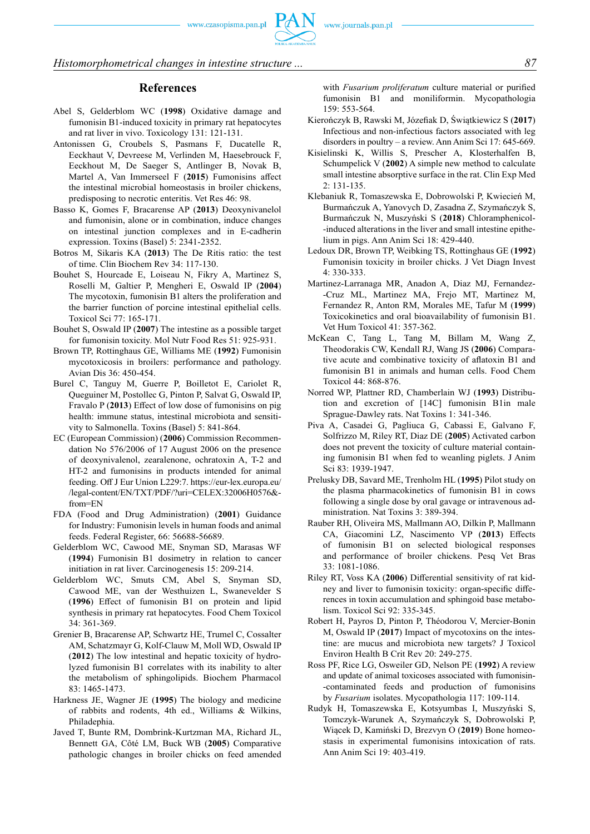*Histomorphometrical changes in intestine structure ... 87*

#### **References**

- Abel S, Gelderblom WC (**1998**) Oxidative damage and fumonisin B1-induced toxicity in primary rat hepatocytes and rat liver in vivo. Toxicology 131: 121-131.
- Antonissen G, Croubels S, Pasmans F, Ducatelle R, Eeckhaut V, Devreese M, Verlinden M, Haesebrouck F, Eeckhout M, De Saeger S, Antlinger B, Novak B, Martel A, Van Immerseel F (**2015**) Fumonisins affect the intestinal microbial homeostasis in broiler chickens, predisposing to necrotic enteritis. Vet Res 46: 98.
- Basso K, Gomes F, Bracarense AP (**2013**) Deoxynivanelol and fumonisin, alone or in combination, induce changes on intestinal junction complexes and in E-cadherin expression. Toxins (Basel) 5: 2341-2352.
- Botros M, Sikaris KA (**2013**) The De Ritis ratio: the test of time. Clin Biochem Rev 34: 117-130.
- Bouhet S, Hourcade E, Loiseau N, Fikry A, Martinez S, Roselli M, Galtier P, Mengheri E, Oswald IP (**2004**) The mycotoxin, fumonisin B1 alters the proliferation and the barrier function of porcine intestinal epithelial cells. Toxicol Sci 77: 165-171.
- Bouhet S, Oswald IP (**2007**) The intestine as a possible target for fumonisin toxicity. Mol Nutr Food Res 51: 925-931.
- Brown TP, Rottinghaus GE, Williams ME (**1992**) Fumonisin mycotoxicosis in broilers: performance and pathology. Avian Dis 36: 450-454.
- Burel C, Tanguy M, Guerre P, Boilletot E, Cariolet R, Queguiner M, Postollec G, Pinton P, Salvat G, Oswald IP, Fravalo P (**2013**) Effect of low dose of fumonisins on pig health: immune status, intestinal microbiota and sensitivity to Salmonella. Toxins (Basel) 5: 841-864.
- EC (European Commission) (**2006**) Commission Recommendation No 576/2006 of 17 August 2006 on the presence of deoxynivalenol, zearalenone, ochratoxin A, T-2 and HT-2 and fumonisins in products intended for animal feeding. Off J Eur Union L229:7. https://eur-lex.europa.eu/ /legal-content/EN/TXT/PDF/?uri=CELEX:32006H0576& from=EN
- FDA (Food and Drug Administration) (**2001**) Guidance for Industry: Fumonisin levels in human foods and animal feeds. Federal Register, 66: 56688-56689.
- Gelderblom WC, Cawood ME, Snyman SD, Marasas WF (**1994**) Fumonisin B1 dosimetry in relation to cancer initiation in rat liver. Carcinogenesis 15: 209-214.
- Gelderblom WC, Smuts CM, Abel S, Snyman SD, Cawood ME, van der Westhuizen L, Swanevelder S (**1996**) Effect of fumonisin B1 on protein and lipid synthesis in primary rat hepatocytes. Food Chem Toxicol 34: 361-369.
- Grenier B, Bracarense AP, Schwartz HE, Trumel C, Cossalter AM, Schatzmayr G, Kolf-Clauw M, Moll WD, Oswald IP (**2012**) The low intestinal and hepatic toxicity of hydrolyzed fumonisin B1 correlates with its inability to alter the metabolism of sphingolipids. Biochem Pharmacol 83: 1465-1473.
- Harkness JE, Wagner JE (**1995**) The biology and medicine of rabbits and rodents, 4th ed., Williams & Wilkins, Philadephia.
- Javed T, Bunte RM, Dombrink-Kurtzman MA, Richard JL, Bennett GA, Côté LM, Buck WB (**2005**) Comparative pathologic changes in broiler chicks on feed amended

with *Fusarium proliferatum* culture material or purified fumonisin B1 and moniliformin. Mycopathologia 159: 553-564.

- Kierończyk B, Rawski M, Józefiak D, Świątkiewicz S (**2017**) Infectious and non-infectious factors associated with leg disorders in poultry – a review. Ann Anim Sci 17: 645-669.
- Kisielinski K, Willis S, Prescher A, Klosterhalfen B, Schumpelick V (**2002**) A simple new method to calculate small intestine absorptive surface in the rat. Clin Exp Med 2: 131-135.
- Klebaniuk R, Tomaszewska E, Dobrowolski P, Kwiecień M, Burmańczuk A, Yanovych D, Zasadna Z, Szymańczyk S, Burmańczuk N, Muszyński S (**2018**) Chloramphenicol- -induced alterations in the liver and small intestine epithelium in pigs. Ann Anim Sci 18: 429-440.
- Ledoux DR, Brown TP, Weibking TS, Rottinghaus GE (**1992**) Fumonisin toxicity in broiler chicks. J Vet Diagn Invest 4: 330-333.
- Martinez-Larranaga MR, Anadon A, Diaz MJ, Fernandez- -Cruz ML, Martinez MA, Frejo MT, Martinez M, Fernandez R, Anton RM, Morales ME, Tafur M (**1999**) Toxicokinetics and oral bioavailability of fumonisin B1. Vet Hum Toxicol 41: 357-362.
- McKean C, Tang L, Tang M, Billam M, Wang Z, Theodorakis CW, Kendall RJ, Wang JS (**2006**) Comparative acute and combinative toxicity of aflatoxin B1 and fumonisin B1 in animals and human cells. Food Chem Toxicol 44: 868-876.
- Norred WP, Plattner RD, Chamberlain WJ (**1993**) Distribution and excretion of [14C] fumonisin B1in male Sprague-Dawley rats. Nat Toxins 1: 341-346.
- Piva A, Casadei G, Pagliuca G, Cabassi E, Galvano F, Solfrizzo M, Riley RT, Diaz DE (**2005**) Activated carbon does not prevent the toxicity of culture material containing fumonisin B1 when fed to weanling piglets. J Anim Sci 83: 1939-1947.
- Prelusky DB, Savard ME, Trenholm HL (**1995**) Pilot study on the plasma pharmacokinetics of fumonisin B1 in cows following a single dose by oral gavage or intravenous administration. Nat Toxins 3: 389-394.
- Rauber RH, Oliveira MS, Mallmann AO, Dilkin P, Mallmann CA, Giacomini LZ, Nascimento VP (**2013**) Effects of fumonisin B1 on selected biological responses and performance of broiler chickens. Pesq Vet Bras 33: 1081-1086.
- Riley RT, Voss KA (**2006**) Differential sensitivity of rat kidney and liver to fumonisin toxicity: organ-specific differences in toxin accumulation and sphingoid base metabolism. Toxicol Sci 92: 335-345.
- Robert H, Payros D, Pinton P, Théodorou V, Mercier-Bonin M, Oswald IP (**2017**) Impact of mycotoxins on the intestine: are mucus and microbiota new targets? J Toxicol Environ Health B Crit Rev 20: 249-275.
- Ross PF, Rice LG, Osweiler GD, Nelson PE (**1992**) A review and update of animal toxicoses associated with fumonisin- -contaminated feeds and production of fumonisins by *Fusarium* isolates. Mycopathologia 117: 109-114.
- Rudyk H, Tomaszewska E, Kotsyumbas I, Muszyński S, Tomczyk-Warunek A, Szymańczyk S, Dobrowolski P, Wiącek D, Kamiński D, Brezvyn O (**2019**) Bone homeostasis in experimental fumonisins intoxication of rats. Ann Anim Sci 19: 403-419.